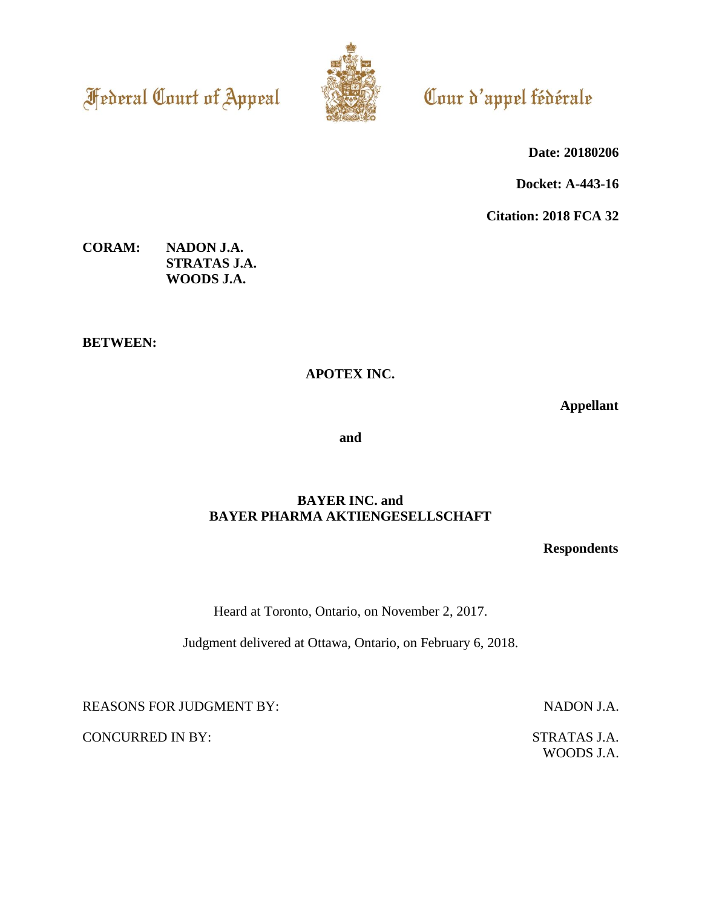**Federal Court of Appeal** 



# Cour d'appel fédérale

**Date: 20180206**

**Docket: A-443-16**

**Citation: 2018 FCA 32**

**CORAM: NADON J.A. STRATAS J.A. WOODS J.A.**

**BETWEEN:**

**APOTEX INC.**

**Appellant**

**and**

#### **BAYER INC. and BAYER PHARMA AKTIENGESELLSCHAFT**

**Respondents**

Heard at Toronto, Ontario, on November 2, 2017.

Judgment delivered at Ottawa, Ontario, on February 6, 2018.

REASONS FOR JUDGMENT BY: NADON J.A.

WOODS J.A.

CONCURRED IN BY: STRATAS J.A.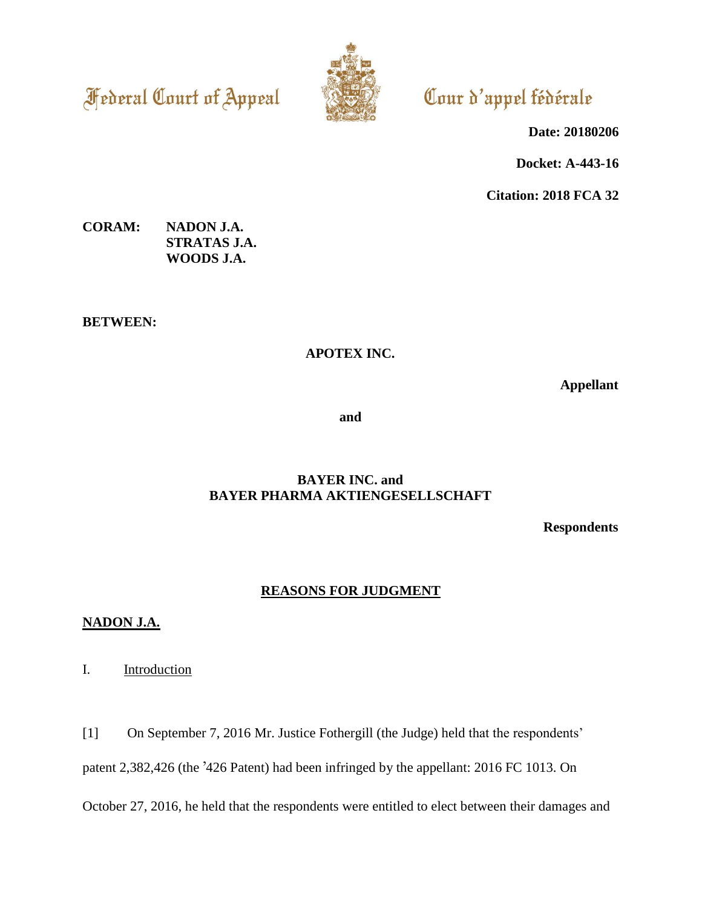**Federal Court of Appeal** 



# Cour d'appel fédérale

**Date: 20180206**

**Docket: A-443-16**

**Citation: 2018 FCA 32**

### **CORAM: NADON J.A. STRATAS J.A. WOODS J.A.**

**BETWEEN:**

## **APOTEX INC.**

**Appellant**

**and**

# **BAYER INC. and BAYER PHARMA AKTIENGESELLSCHAFT**

**Respondents**

# **REASONS FOR JUDGMENT**

### **NADON J.A.**

I. Introduction

[1] On September 7, 2016 Mr. Justice Fothergill (the Judge) held that the respondents'

patent 2,382,426 (the '426 Patent) had been infringed by the appellant: 2016 FC 1013. On

October 27, 2016, he held that the respondents were entitled to elect between their damages and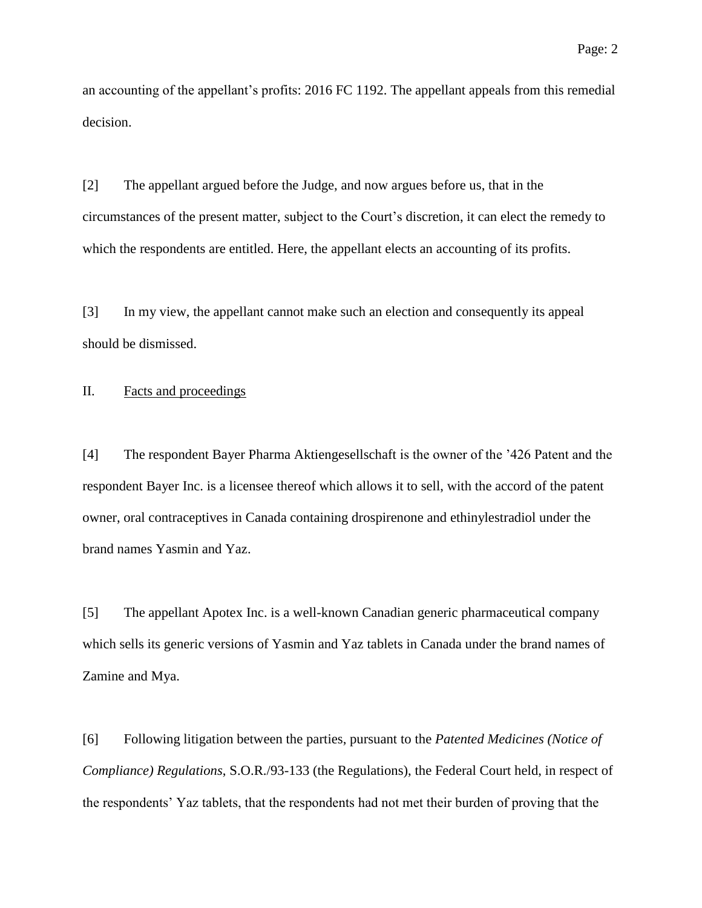an accounting of the appellant's profits: 2016 FC 1192. The appellant appeals from this remedial decision.

[2] The appellant argued before the Judge, and now argues before us, that in the circumstances of the present matter, subject to the Court's discretion, it can elect the remedy to which the respondents are entitled. Here, the appellant elects an accounting of its profits.

[3] In my view, the appellant cannot make such an election and consequently its appeal should be dismissed.

#### II. Facts and proceedings

[4] The respondent Bayer Pharma Aktiengesellschaft is the owner of the '426 Patent and the respondent Bayer Inc. is a licensee thereof which allows it to sell, with the accord of the patent owner, oral contraceptives in Canada containing drospirenone and ethinylestradiol under the brand names Yasmin and Yaz.

[5] The appellant Apotex Inc. is a well-known Canadian generic pharmaceutical company which sells its generic versions of Yasmin and Yaz tablets in Canada under the brand names of Zamine and Mya.

[6] Following litigation between the parties, pursuant to the *Patented Medicines (Notice of Compliance) Regulations*, S.O.R./93-133 (the Regulations), the Federal Court held, in respect of the respondents' Yaz tablets, that the respondents had not met their burden of proving that the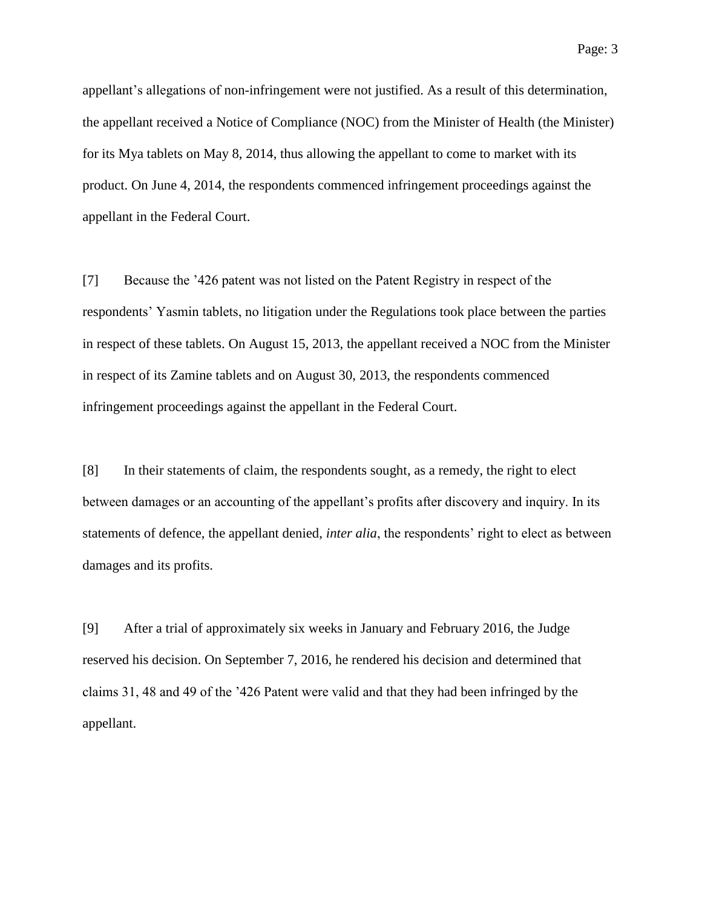appellant's allegations of non-infringement were not justified. As a result of this determination, the appellant received a Notice of Compliance (NOC) from the Minister of Health (the Minister) for its Mya tablets on May 8, 2014, thus allowing the appellant to come to market with its product. On June 4, 2014, the respondents commenced infringement proceedings against the appellant in the Federal Court.

[7] Because the '426 patent was not listed on the Patent Registry in respect of the respondents' Yasmin tablets, no litigation under the Regulations took place between the parties in respect of these tablets. On August 15, 2013, the appellant received a NOC from the Minister in respect of its Zamine tablets and on August 30, 2013, the respondents commenced infringement proceedings against the appellant in the Federal Court.

[8] In their statements of claim, the respondents sought, as a remedy, the right to elect between damages or an accounting of the appellant's profits after discovery and inquiry. In its statements of defence, the appellant denied, *inter alia*, the respondents' right to elect as between damages and its profits.

[9] After a trial of approximately six weeks in January and February 2016, the Judge reserved his decision. On September 7, 2016, he rendered his decision and determined that claims 31, 48 and 49 of the '426 Patent were valid and that they had been infringed by the appellant.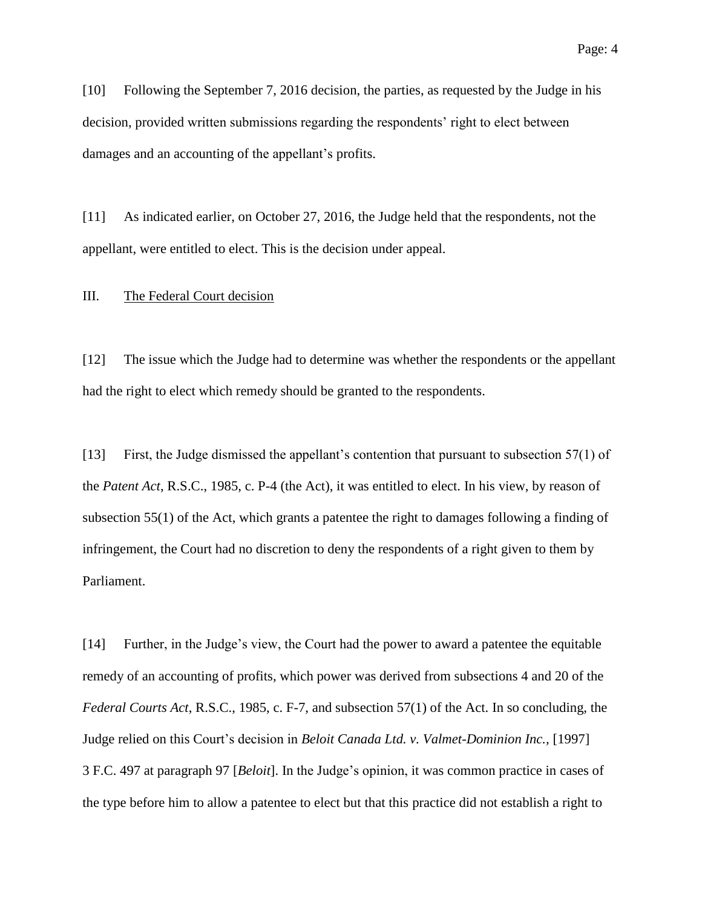[10] Following the September 7, 2016 decision, the parties, as requested by the Judge in his decision, provided written submissions regarding the respondents' right to elect between damages and an accounting of the appellant's profits.

[11] As indicated earlier, on October 27, 2016, the Judge held that the respondents, not the appellant, were entitled to elect. This is the decision under appeal.

#### III. The Federal Court decision

[12] The issue which the Judge had to determine was whether the respondents or the appellant had the right to elect which remedy should be granted to the respondents.

[13] First, the Judge dismissed the appellant's contention that pursuant to subsection 57(1) of the *Patent Act*, R.S.C., 1985, c. P-4 (the Act), it was entitled to elect. In his view, by reason of subsection 55(1) of the Act, which grants a patentee the right to damages following a finding of infringement, the Court had no discretion to deny the respondents of a right given to them by Parliament.

[14] Further, in the Judge's view, the Court had the power to award a patentee the equitable remedy of an accounting of profits, which power was derived from subsections 4 and 20 of the *Federal Courts Act*, R.S.C., 1985, c. F-7, and subsection 57(1) of the Act. In so concluding, the Judge relied on this Court's decision in *Beloit Canada Ltd. v. Valmet-Dominion Inc.,* [1997] 3 F.C. 497 at paragraph 97 [*Beloit*]. In the Judge's opinion, it was common practice in cases of the type before him to allow a patentee to elect but that this practice did not establish a right to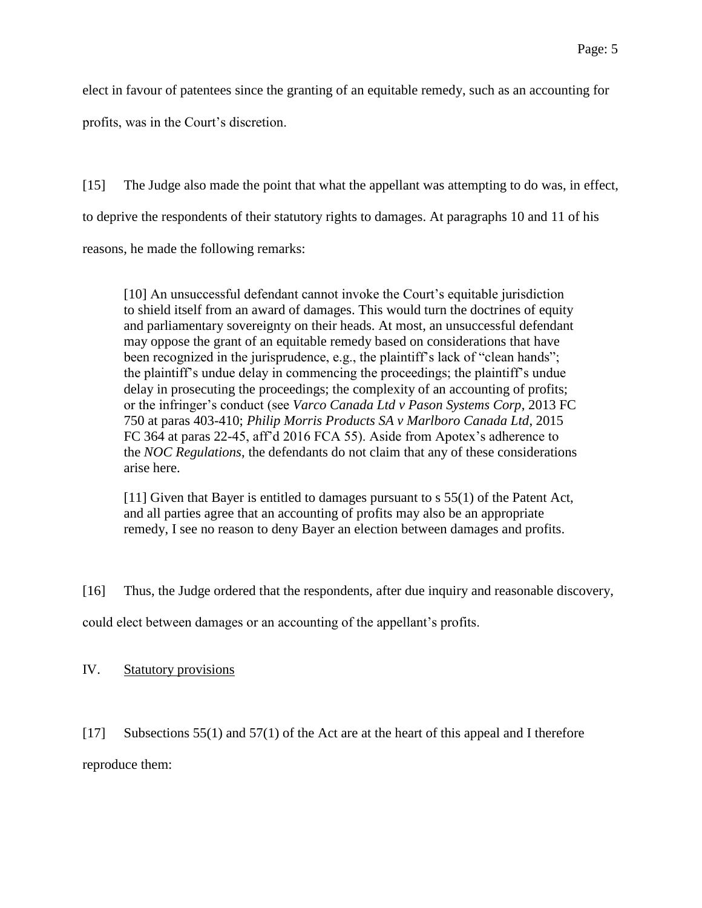elect in favour of patentees since the granting of an equitable remedy, such as an accounting for profits, was in the Court's discretion.

[15] The Judge also made the point that what the appellant was attempting to do was, in effect, to deprive the respondents of their statutory rights to damages. At paragraphs 10 and 11 of his reasons, he made the following remarks:

[10] An unsuccessful defendant cannot invoke the Court's equitable jurisdiction to shield itself from an award of damages. This would turn the doctrines of equity and parliamentary sovereignty on their heads. At most, an unsuccessful defendant may oppose the grant of an equitable remedy based on considerations that have been recognized in the jurisprudence, e.g., the plaintiff's lack of "clean hands"; the plaintiff's undue delay in commencing the proceedings; the plaintiff's undue delay in prosecuting the proceedings; the complexity of an accounting of profits; or the infringer's conduct (see *Varco Canada Ltd v Pason Systems Corp*, 2013 FC 750 at paras 403-410; *Philip Morris Products SA v Marlboro Canada Ltd*, 2015 FC 364 at paras 22-45, aff'd 2016 FCA 55). Aside from Apotex's adherence to the *NOC Regulations*, the defendants do not claim that any of these considerations arise here.

[11] Given that Bayer is entitled to damages pursuant to s 55(1) of the Patent Act, and all parties agree that an accounting of profits may also be an appropriate remedy, I see no reason to deny Bayer an election between damages and profits.

[16] Thus, the Judge ordered that the respondents, after due inquiry and reasonable discovery,

could elect between damages or an accounting of the appellant's profits.

IV. Statutory provisions

[17] Subsections 55(1) and 57(1) of the Act are at the heart of this appeal and I therefore

reproduce them: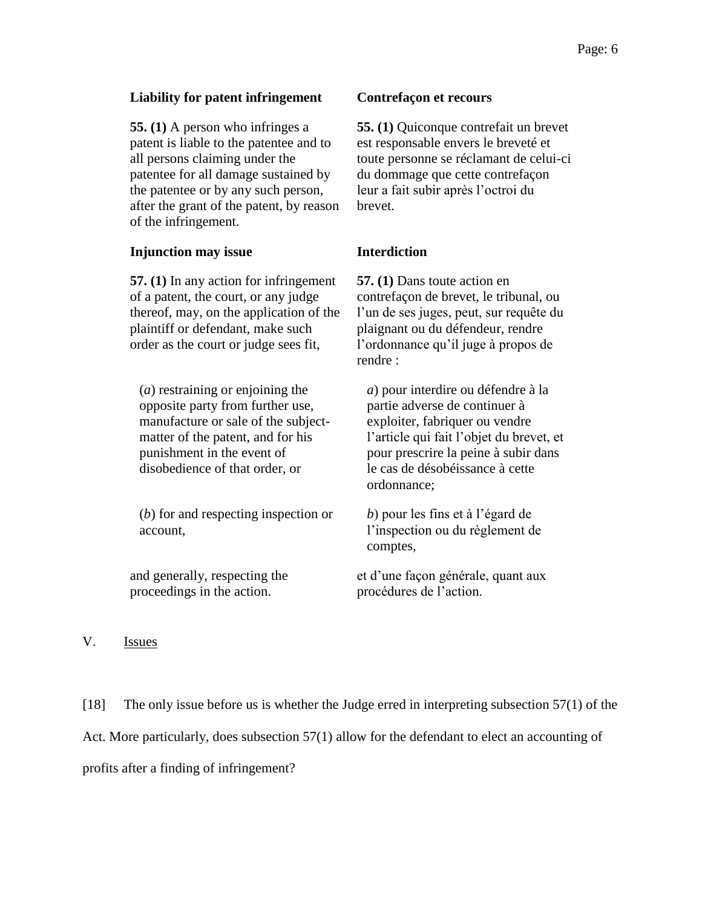#### **Liability for patent infringement Contrefaçon et recours**

**55. (1)** A person who infringes a patent is liable to the patentee and to all persons claiming under the patentee for all damage sustained by the patentee or by any such person, after the grant of the patent, by reason of the infringement.

#### **Injunction may issue <b>Interdiction**

**57. (1)** In any action for infringement of a patent, the court, or any judge thereof, may, on the application of the plaintiff or defendant, make such order as the court or judge sees fit,

(*a*) restraining or enjoining the opposite party from further use, manufacture or sale of the subjectmatter of the patent, and for his punishment in the event of disobedience of that order, or

(*b*) for and respecting inspection or account,

and generally, respecting the proceedings in the action.

**55. (1)** Quiconque contrefait un brevet est responsable envers le breveté et toute personne se réclamant de celui-ci du dommage que cette contrefaçon leur a fait subir après l'octroi du brevet.

**57. (1)** Dans toute action en contrefaçon de brevet, le tribunal, ou l'un de ses juges, peut, sur requête du plaignant ou du défendeur, rendre l'ordonnance qu'il juge à propos de rendre :

*a*) pour interdire ou défendre à la partie adverse de continuer à exploiter, fabriquer ou vendre l'article qui fait l'objet du brevet, et pour prescrire la peine à subir dans le cas de désobéissance à cette ordonnance;

*b*) pour les fins et à l'égard de l'inspection ou du règlement de comptes,

et d'une façon générale, quant aux procédures de l'action.

#### V. Issues

[18] The only issue before us is whether the Judge erred in interpreting subsection 57(1) of the Act. More particularly, does subsection 57(1) allow for the defendant to elect an accounting of profits after a finding of infringement?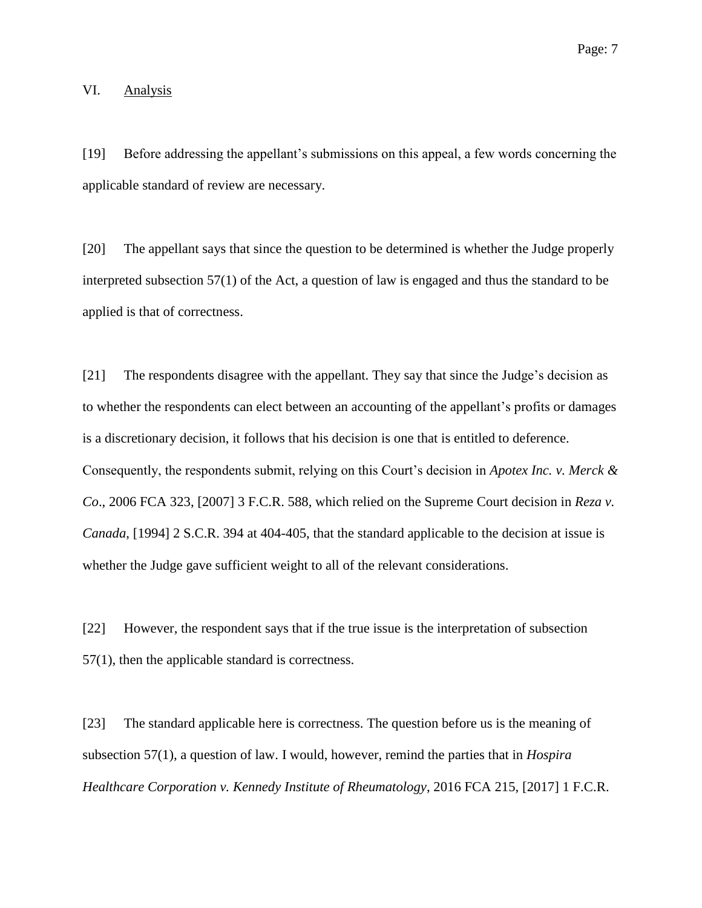#### VI. Analysis

[19] Before addressing the appellant's submissions on this appeal, a few words concerning the applicable standard of review are necessary.

[20] The appellant says that since the question to be determined is whether the Judge properly interpreted subsection 57(1) of the Act, a question of law is engaged and thus the standard to be applied is that of correctness.

[21] The respondents disagree with the appellant. They say that since the Judge's decision as to whether the respondents can elect between an accounting of the appellant's profits or damages is a discretionary decision, it follows that his decision is one that is entitled to deference. Consequently, the respondents submit, relying on this Court's decision in *Apotex Inc. v. Merck & Co*., 2006 FCA 323, [2007] 3 F.C.R. 588, which relied on the Supreme Court decision in *Reza v. Canada*, [1994] 2 S.C.R. 394 at 404-405, that the standard applicable to the decision at issue is whether the Judge gave sufficient weight to all of the relevant considerations.

[22] However, the respondent says that if the true issue is the interpretation of subsection 57(1), then the applicable standard is correctness.

[23] The standard applicable here is correctness. The question before us is the meaning of subsection 57(1), a question of law. I would, however, remind the parties that in *Hospira Healthcare Corporation v. Kennedy Institute of Rheumatology*, 2016 FCA 215, [2017] 1 F.C.R.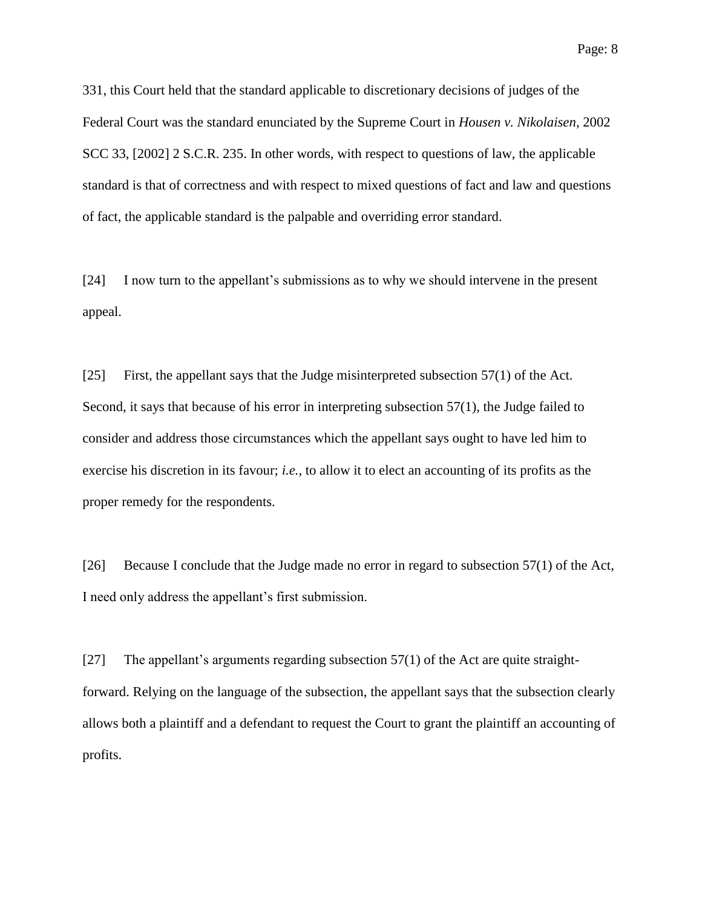331, this Court held that the standard applicable to discretionary decisions of judges of the Federal Court was the standard enunciated by the Supreme Court in *Housen v. Nikolaisen*, 2002 SCC 33, [2002] 2 S.C.R. 235. In other words, with respect to questions of law, the applicable standard is that of correctness and with respect to mixed questions of fact and law and questions of fact, the applicable standard is the palpable and overriding error standard.

[24] I now turn to the appellant's submissions as to why we should intervene in the present appeal.

[25] First, the appellant says that the Judge misinterpreted subsection 57(1) of the Act. Second, it says that because of his error in interpreting subsection 57(1), the Judge failed to consider and address those circumstances which the appellant says ought to have led him to exercise his discretion in its favour; *i.e.*, to allow it to elect an accounting of its profits as the proper remedy for the respondents.

[26] Because I conclude that the Judge made no error in regard to subsection 57(1) of the Act, I need only address the appellant's first submission.

[27] The appellant's arguments regarding subsection 57(1) of the Act are quite straightforward. Relying on the language of the subsection, the appellant says that the subsection clearly allows both a plaintiff and a defendant to request the Court to grant the plaintiff an accounting of profits.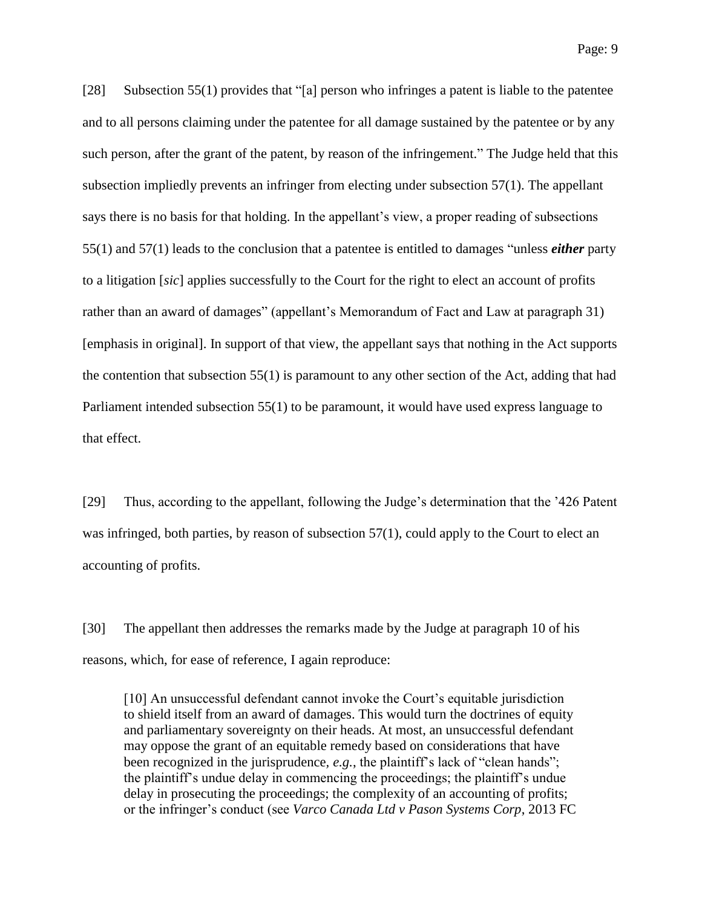Page: 9

[28] Subsection 55(1) provides that "[a] person who infringes a patent is liable to the patentee and to all persons claiming under the patentee for all damage sustained by the patentee or by any such person, after the grant of the patent, by reason of the infringement." The Judge held that this subsection impliedly prevents an infringer from electing under subsection 57(1). The appellant says there is no basis for that holding. In the appellant's view, a proper reading of subsections 55(1) and 57(1) leads to the conclusion that a patentee is entitled to damages "unless *either* party to a litigation [*sic*] applies successfully to the Court for the right to elect an account of profits rather than an award of damages" (appellant's Memorandum of Fact and Law at paragraph 31) [emphasis in original]. In support of that view, the appellant says that nothing in the Act supports the contention that subsection 55(1) is paramount to any other section of the Act, adding that had Parliament intended subsection 55(1) to be paramount, it would have used express language to that effect.

[29] Thus, according to the appellant, following the Judge's determination that the '426 Patent was infringed, both parties, by reason of subsection 57(1), could apply to the Court to elect an accounting of profits.

[30] The appellant then addresses the remarks made by the Judge at paragraph 10 of his reasons, which, for ease of reference, I again reproduce:

[10] An unsuccessful defendant cannot invoke the Court's equitable jurisdiction to shield itself from an award of damages. This would turn the doctrines of equity and parliamentary sovereignty on their heads. At most, an unsuccessful defendant may oppose the grant of an equitable remedy based on considerations that have been recognized in the jurisprudence*, e.g.*, the plaintiff's lack of "clean hands"; the plaintiff's undue delay in commencing the proceedings; the plaintiff's undue delay in prosecuting the proceedings; the complexity of an accounting of profits; or the infringer's conduct (see *Varco Canada Ltd v Pason Systems Corp*, 2013 FC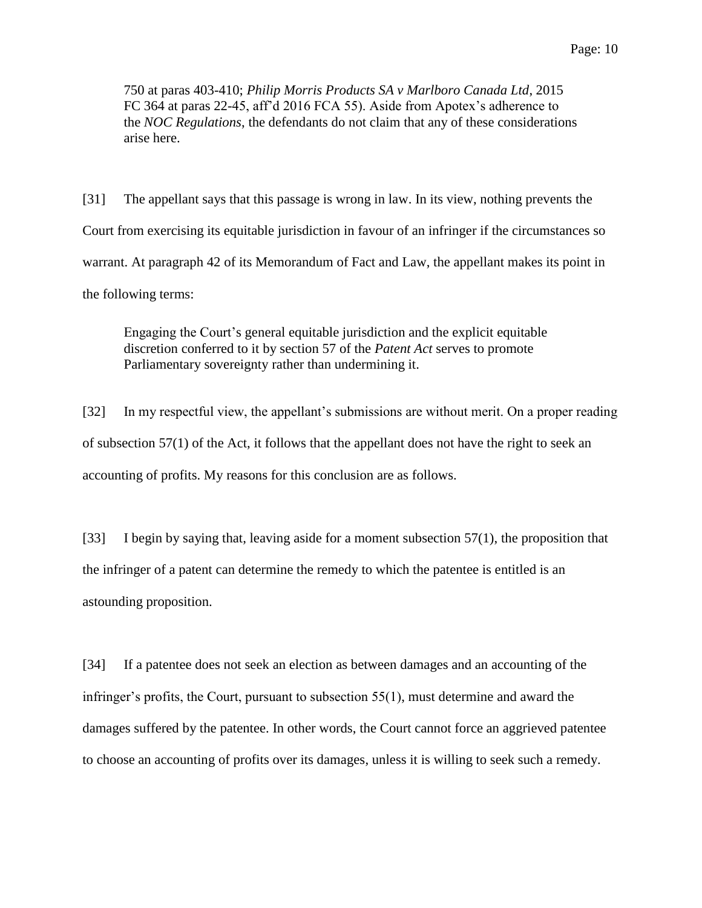750 at paras 403-410; *Philip Morris Products SA v Marlboro Canada Ltd*, 2015 FC 364 at paras 22-45, aff'd 2016 FCA 55). Aside from Apotex's adherence to the *NOC Regulations*, the defendants do not claim that any of these considerations arise here.

[31] The appellant says that this passage is wrong in law. In its view, nothing prevents the Court from exercising its equitable jurisdiction in favour of an infringer if the circumstances so warrant. At paragraph 42 of its Memorandum of Fact and Law, the appellant makes its point in the following terms:

Engaging the Court's general equitable jurisdiction and the explicit equitable discretion conferred to it by section 57 of the *Patent Act* serves to promote Parliamentary sovereignty rather than undermining it.

[32] In my respectful view, the appellant's submissions are without merit. On a proper reading of subsection 57(1) of the Act, it follows that the appellant does not have the right to seek an accounting of profits. My reasons for this conclusion are as follows.

[33] I begin by saying that, leaving aside for a moment subsection 57(1), the proposition that the infringer of a patent can determine the remedy to which the patentee is entitled is an astounding proposition.

[34] If a patentee does not seek an election as between damages and an accounting of the infringer's profits, the Court, pursuant to subsection 55(1), must determine and award the damages suffered by the patentee. In other words, the Court cannot force an aggrieved patentee to choose an accounting of profits over its damages, unless it is willing to seek such a remedy.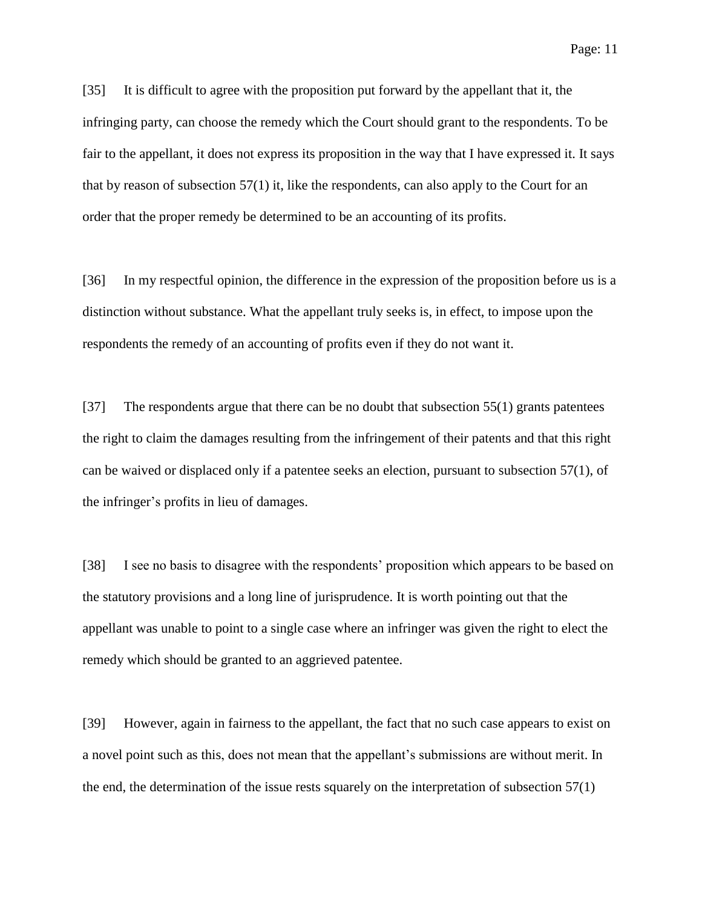[35] It is difficult to agree with the proposition put forward by the appellant that it, the infringing party, can choose the remedy which the Court should grant to the respondents. To be fair to the appellant, it does not express its proposition in the way that I have expressed it. It says that by reason of subsection 57(1) it, like the respondents, can also apply to the Court for an order that the proper remedy be determined to be an accounting of its profits.

[36] In my respectful opinion, the difference in the expression of the proposition before us is a distinction without substance. What the appellant truly seeks is, in effect, to impose upon the respondents the remedy of an accounting of profits even if they do not want it.

[37] The respondents argue that there can be no doubt that subsection 55(1) grants patentees the right to claim the damages resulting from the infringement of their patents and that this right can be waived or displaced only if a patentee seeks an election, pursuant to subsection 57(1), of the infringer's profits in lieu of damages.

[38] I see no basis to disagree with the respondents' proposition which appears to be based on the statutory provisions and a long line of jurisprudence. It is worth pointing out that the appellant was unable to point to a single case where an infringer was given the right to elect the remedy which should be granted to an aggrieved patentee.

[39] However, again in fairness to the appellant, the fact that no such case appears to exist on a novel point such as this, does not mean that the appellant's submissions are without merit. In the end, the determination of the issue rests squarely on the interpretation of subsection 57(1)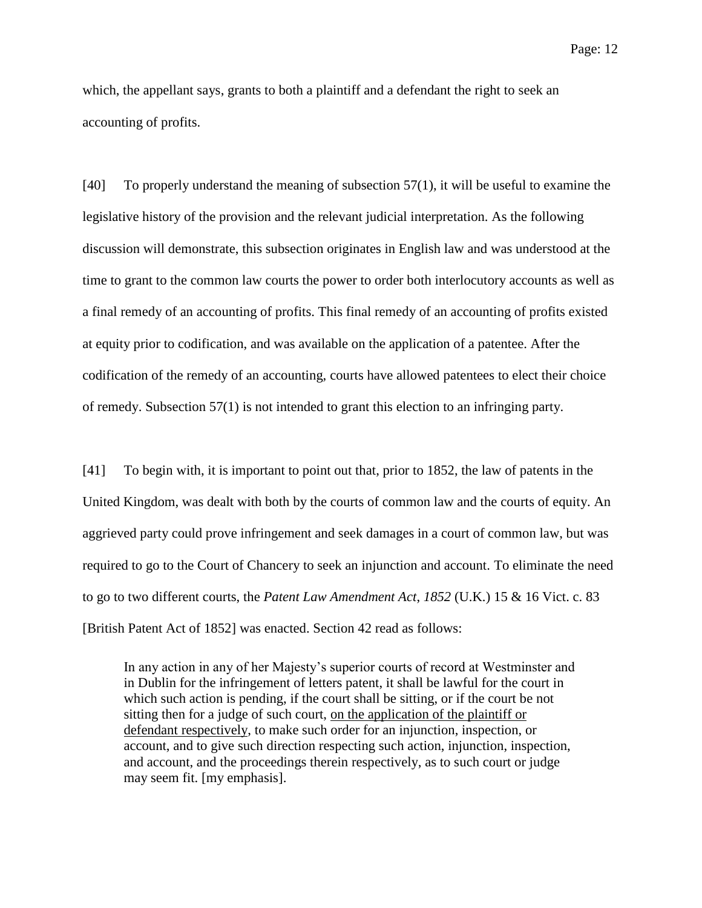Page: 12

which, the appellant says, grants to both a plaintiff and a defendant the right to seek an accounting of profits.

[40] To properly understand the meaning of subsection 57(1), it will be useful to examine the legislative history of the provision and the relevant judicial interpretation. As the following discussion will demonstrate, this subsection originates in English law and was understood at the time to grant to the common law courts the power to order both interlocutory accounts as well as a final remedy of an accounting of profits. This final remedy of an accounting of profits existed at equity prior to codification, and was available on the application of a patentee. After the codification of the remedy of an accounting, courts have allowed patentees to elect their choice of remedy. Subsection 57(1) is not intended to grant this election to an infringing party.

[41] To begin with, it is important to point out that, prior to 1852, the law of patents in the United Kingdom, was dealt with both by the courts of common law and the courts of equity. An aggrieved party could prove infringement and seek damages in a court of common law, but was required to go to the Court of Chancery to seek an injunction and account. To eliminate the need to go to two different courts, the *Patent Law Amendment Act*, *1852* (U.K.) 15 & 16 Vict. c. 83 [British Patent Act of 1852] was enacted. Section 42 read as follows:

In any action in any of her Majesty's superior courts of record at Westminster and in Dublin for the infringement of letters patent, it shall be lawful for the court in which such action is pending, if the court shall be sitting, or if the court be not sitting then for a judge of such court, on the application of the plaintiff or defendant respectively, to make such order for an injunction, inspection, or account, and to give such direction respecting such action, injunction, inspection, and account, and the proceedings therein respectively, as to such court or judge may seem fit. [my emphasis].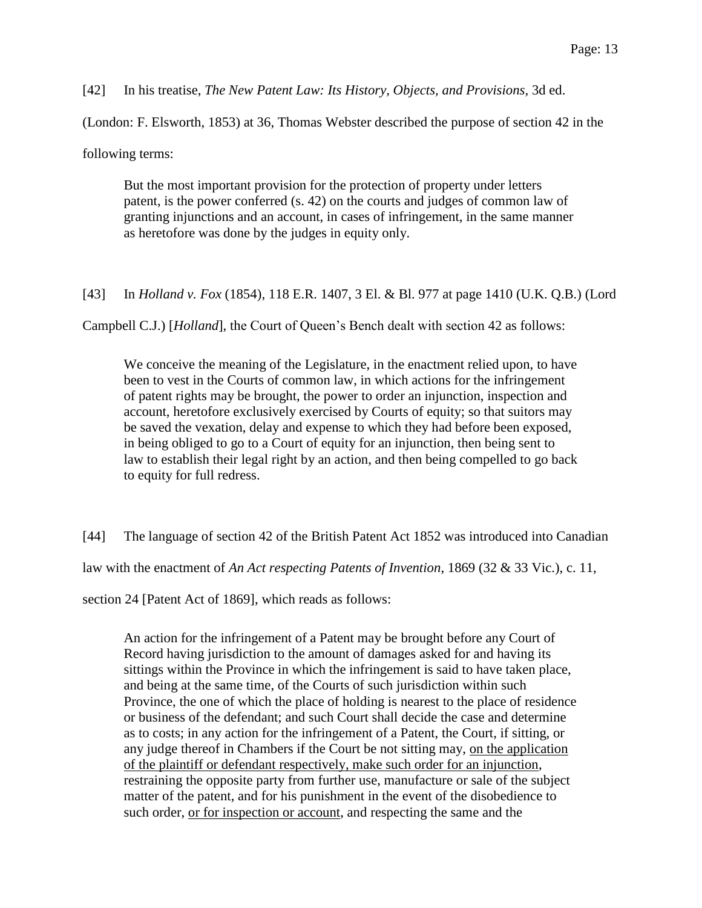[42] In his treatise, *The New Patent Law: Its History, Objects, and Provisions,* 3d ed.

(London: F. Elsworth, 1853) at 36, Thomas Webster described the purpose of section 42 in the

following terms:

But the most important provision for the protection of property under letters patent, is the power conferred (s. 42) on the courts and judges of common law of granting injunctions and an account, in cases of infringement, in the same manner as heretofore was done by the judges in equity only.

[43] In *Holland v. Fox* (1854), 118 E.R. 1407, 3 El. & Bl. 977 at page 1410 (U.K. Q.B.) (Lord

Campbell C.J.) [*Holland*], the Court of Queen's Bench dealt with section 42 as follows:

We conceive the meaning of the Legislature, in the enactment relied upon, to have been to vest in the Courts of common law, in which actions for the infringement of patent rights may be brought, the power to order an injunction, inspection and account, heretofore exclusively exercised by Courts of equity; so that suitors may be saved the vexation, delay and expense to which they had before been exposed, in being obliged to go to a Court of equity for an injunction, then being sent to law to establish their legal right by an action, and then being compelled to go back to equity for full redress.

[44] The language of section 42 of the British Patent Act 1852 was introduced into Canadian law with the enactment of *An Act respecting Patents of Invention*, 1869 (32 & 33 Vic.), c. 11, section 24 [Patent Act of 1869], which reads as follows:

An action for the infringement of a Patent may be brought before any Court of Record having jurisdiction to the amount of damages asked for and having its sittings within the Province in which the infringement is said to have taken place, and being at the same time, of the Courts of such jurisdiction within such Province, the one of which the place of holding is nearest to the place of residence or business of the defendant; and such Court shall decide the case and determine as to costs; in any action for the infringement of a Patent, the Court, if sitting, or any judge thereof in Chambers if the Court be not sitting may, on the application of the plaintiff or defendant respectively, make such order for an injunction, restraining the opposite party from further use, manufacture or sale of the subject matter of the patent, and for his punishment in the event of the disobedience to such order, or for inspection or account, and respecting the same and the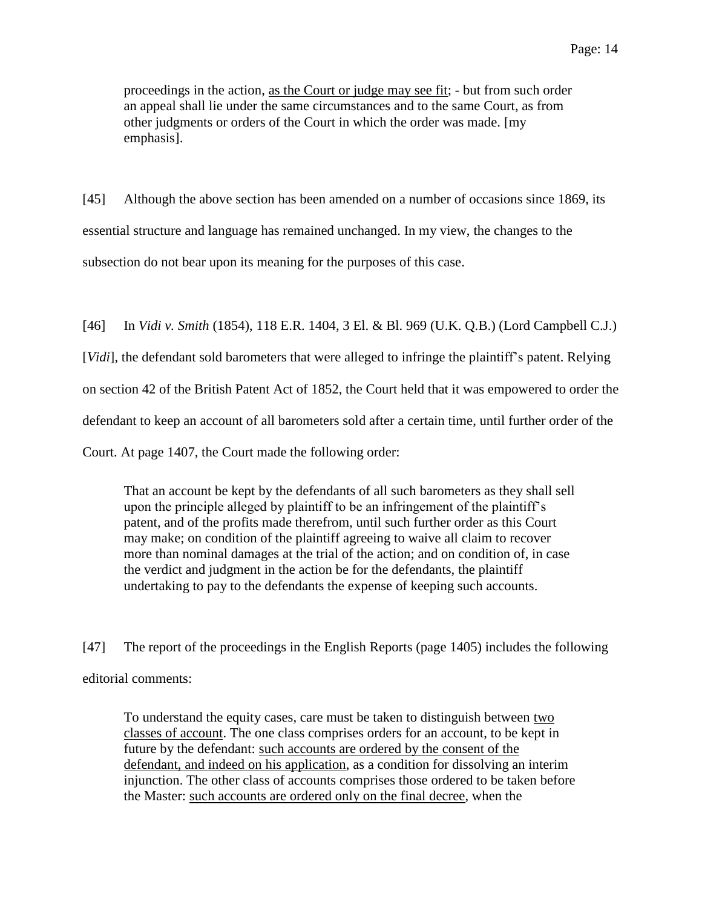proceedings in the action, as the Court or judge may see fit; - but from such order an appeal shall lie under the same circumstances and to the same Court, as from other judgments or orders of the Court in which the order was made. [my emphasis].

[45] Although the above section has been amended on a number of occasions since 1869, its essential structure and language has remained unchanged. In my view, the changes to the subsection do not bear upon its meaning for the purposes of this case.

[46] In *Vidi v. Smith* (1854), 118 E.R. 1404, 3 El. & Bl. 969 (U.K. Q.B.) (Lord Campbell C.J.) [*Vidi*], the defendant sold barometers that were alleged to infringe the plaintiff's patent. Relying on section 42 of the British Patent Act of 1852, the Court held that it was empowered to order the defendant to keep an account of all barometers sold after a certain time, until further order of the Court. At page 1407, the Court made the following order:

That an account be kept by the defendants of all such barometers as they shall sell upon the principle alleged by plaintiff to be an infringement of the plaintiff's patent, and of the profits made therefrom, until such further order as this Court may make; on condition of the plaintiff agreeing to waive all claim to recover more than nominal damages at the trial of the action; and on condition of, in case the verdict and judgment in the action be for the defendants, the plaintiff undertaking to pay to the defendants the expense of keeping such accounts.

[47] The report of the proceedings in the English Reports (page 1405) includes the following editorial comments:

To understand the equity cases, care must be taken to distinguish between two classes of account. The one class comprises orders for an account, to be kept in future by the defendant: such accounts are ordered by the consent of the defendant, and indeed on his application, as a condition for dissolving an interim injunction. The other class of accounts comprises those ordered to be taken before the Master: such accounts are ordered only on the final decree, when the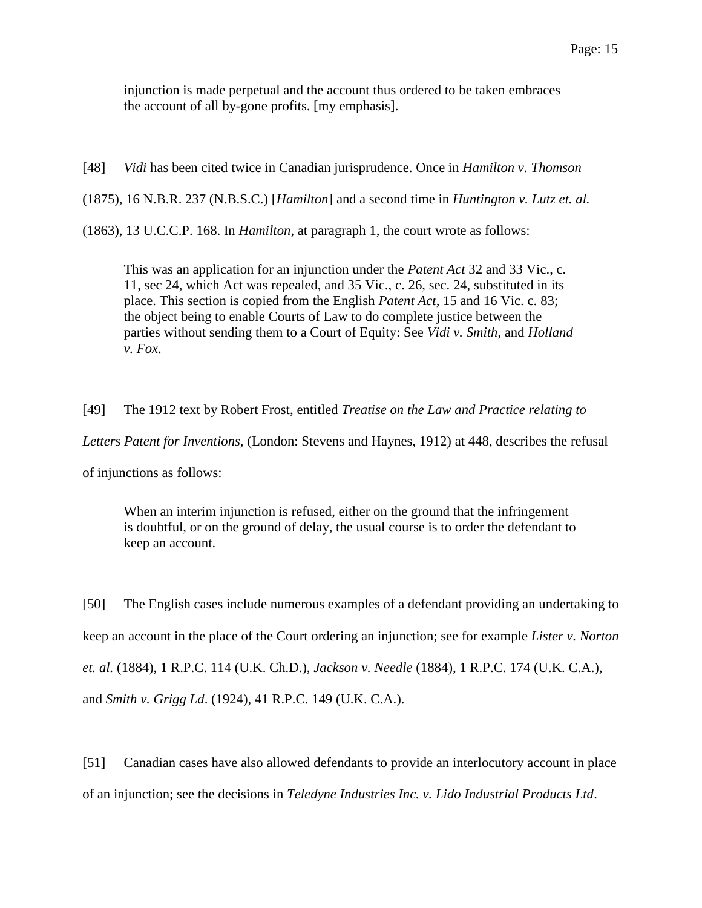injunction is made perpetual and the account thus ordered to be taken embraces the account of all by-gone profits. [my emphasis].

[48] *Vidi* has been cited twice in Canadian jurisprudence. Once in *Hamilton v. Thomson*

(1875), 16 N.B.R. 237 (N.B.S.C.) [*Hamilton*] and a second time in *Huntington v. Lutz et. al.* 

(1863), 13 U.C.C.P. 168. In *Hamilton*, at paragraph 1, the court wrote as follows:

This was an application for an injunction under the *Patent Act* 32 and 33 Vic., c. 11, sec 24, which Act was repealed, and 35 Vic., c. 26, sec. 24, substituted in its place. This section is copied from the English *Patent Act*, 15 and 16 Vic. c. 83; the object being to enable Courts of Law to do complete justice between the parties without sending them to a Court of Equity: See *Vidi v. Smith*, and *Holland v. Fox*.

[49] The 1912 text by Robert Frost, entitled *Treatise on the Law and Practice relating to Letters Patent for Inventions,* (London: Stevens and Haynes, 1912) at 448, describes the refusal of injunctions as follows:

When an interim injunction is refused, either on the ground that the infringement is doubtful, or on the ground of delay, the usual course is to order the defendant to keep an account.

[50] The English cases include numerous examples of a defendant providing an undertaking to keep an account in the place of the Court ordering an injunction; see for example *Lister v. Norton et. al.* (1884), 1 R.P.C. 114 (U.K. Ch.D.), *Jackson v. Needle* (1884), 1 R.P.C. 174 (U.K. C.A.), and *Smith v. Grigg Ld*. (1924), 41 R.P.C. 149 (U.K. C.A.).

[51] Canadian cases have also allowed defendants to provide an interlocutory account in place of an injunction; see the decisions in *Teledyne Industries Inc. v. Lido Industrial Products Ltd*.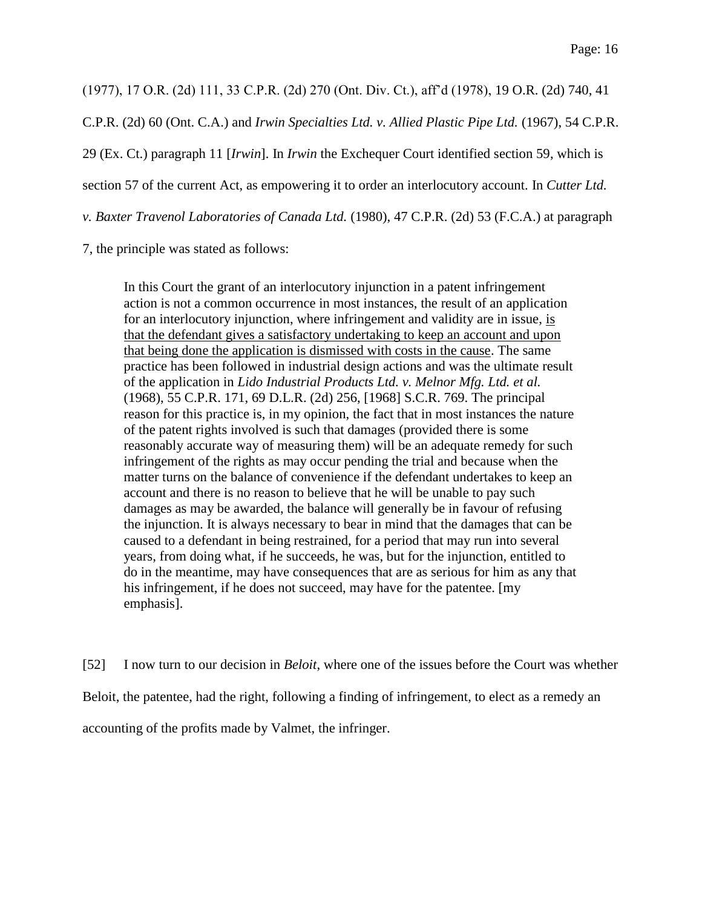(1977), 17 O.R. (2d) 111, 33 C.P.R. (2d) 270 (Ont. Div. Ct.), aff'd (1978), 19 O.R. (2d) 740, 41

C.P.R. (2d) 60 (Ont. C.A.) and *Irwin Specialties Ltd. v. Allied Plastic Pipe Ltd.* (1967), 54 C.P.R.

29 (Ex. Ct.) paragraph 11 [*Irwin*]. In *Irwin* the Exchequer Court identified section 59, which is

section 57 of the current Act, as empowering it to order an interlocutory account. In *Cutter Ltd.* 

*v. Baxter Travenol Laboratories of Canada Ltd.* (1980), 47 C.P.R. (2d) 53 (F.C.A.) at paragraph

7, the principle was stated as follows:

In this Court the grant of an interlocutory injunction in a patent infringement action is not a common occurrence in most instances, the result of an application for an interlocutory injunction, where infringement and validity are in issue, is that the defendant gives a satisfactory undertaking to keep an account and upon that being done the application is dismissed with costs in the cause. The same practice has been followed in industrial design actions and was the ultimate result of the application in *Lido Industrial Products Ltd. v. Melnor Mfg. Ltd. et al.* (1968), 55 C.P.R. 171, 69 D.L.R. (2d) 256, [1968] S.C.R. 769. The principal reason for this practice is, in my opinion, the fact that in most instances the nature of the patent rights involved is such that damages (provided there is some reasonably accurate way of measuring them) will be an adequate remedy for such infringement of the rights as may occur pending the trial and because when the matter turns on the balance of convenience if the defendant undertakes to keep an account and there is no reason to believe that he will be unable to pay such damages as may be awarded, the balance will generally be in favour of refusing the injunction. It is always necessary to bear in mind that the damages that can be caused to a defendant in being restrained, for a period that may run into several years, from doing what, if he succeeds, he was, but for the injunction, entitled to do in the meantime, may have consequences that are as serious for him as any that his infringement, if he does not succeed, may have for the patentee. [my emphasis].

[52] I now turn to our decision in *Beloit*, where one of the issues before the Court was whether

Beloit, the patentee, had the right, following a finding of infringement, to elect as a remedy an

accounting of the profits made by Valmet, the infringer.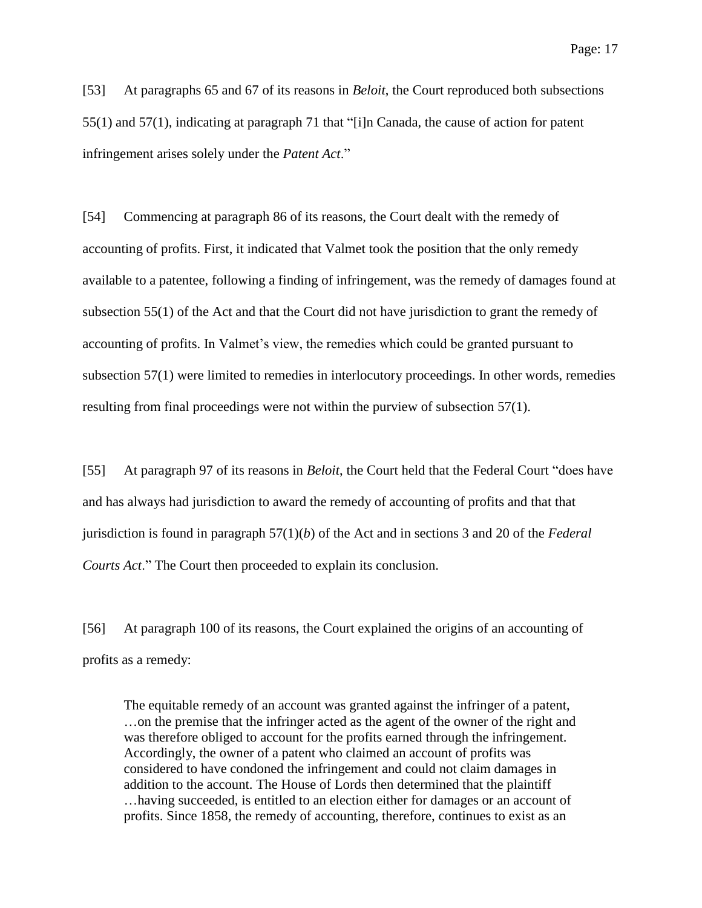Page: 17

[53] At paragraphs 65 and 67 of its reasons in *Beloit*, the Court reproduced both subsections 55(1) and 57(1), indicating at paragraph 71 that "[i]n Canada, the cause of action for patent infringement arises solely under the *Patent Act*."

[54] Commencing at paragraph 86 of its reasons, the Court dealt with the remedy of accounting of profits. First, it indicated that Valmet took the position that the only remedy available to a patentee, following a finding of infringement, was the remedy of damages found at subsection 55(1) of the Act and that the Court did not have jurisdiction to grant the remedy of accounting of profits. In Valmet's view, the remedies which could be granted pursuant to subsection 57(1) were limited to remedies in interlocutory proceedings. In other words, remedies resulting from final proceedings were not within the purview of subsection 57(1).

[55] At paragraph 97 of its reasons in *Beloit*, the Court held that the Federal Court "does have and has always had jurisdiction to award the remedy of accounting of profits and that that jurisdiction is found in paragraph 57(1)(*b*) of the Act and in sections 3 and 20 of the *Federal Courts Act*." The Court then proceeded to explain its conclusion.

[56] At paragraph 100 of its reasons, the Court explained the origins of an accounting of profits as a remedy:

The equitable remedy of an account was granted against the infringer of a patent, …on the premise that the infringer acted as the agent of the owner of the right and was therefore obliged to account for the profits earned through the infringement. Accordingly, the owner of a patent who claimed an account of profits was considered to have condoned the infringement and could not claim damages in addition to the account. The House of Lords then determined that the plaintiff …having succeeded, is entitled to an election either for damages or an account of profits. Since 1858, the remedy of accounting, therefore, continues to exist as an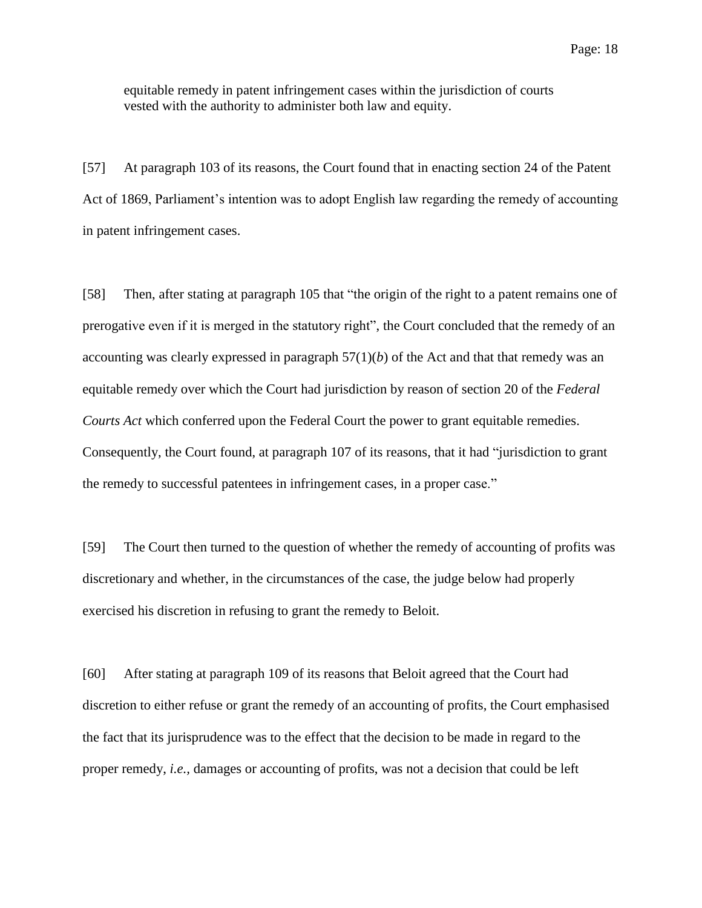equitable remedy in patent infringement cases within the jurisdiction of courts vested with the authority to administer both law and equity.

[57] At paragraph 103 of its reasons, the Court found that in enacting section 24 of the Patent Act of 1869, Parliament's intention was to adopt English law regarding the remedy of accounting in patent infringement cases.

[58] Then, after stating at paragraph 105 that "the origin of the right to a patent remains one of prerogative even if it is merged in the statutory right", the Court concluded that the remedy of an accounting was clearly expressed in paragraph  $57(1)(b)$  of the Act and that that remedy was an equitable remedy over which the Court had jurisdiction by reason of section 20 of the *Federal Courts Act* which conferred upon the Federal Court the power to grant equitable remedies. Consequently, the Court found, at paragraph 107 of its reasons, that it had "jurisdiction to grant the remedy to successful patentees in infringement cases, in a proper case."

[59] The Court then turned to the question of whether the remedy of accounting of profits was discretionary and whether, in the circumstances of the case, the judge below had properly exercised his discretion in refusing to grant the remedy to Beloit.

[60] After stating at paragraph 109 of its reasons that Beloit agreed that the Court had discretion to either refuse or grant the remedy of an accounting of profits, the Court emphasised the fact that its jurisprudence was to the effect that the decision to be made in regard to the proper remedy, *i.e.,* damages or accounting of profits, was not a decision that could be left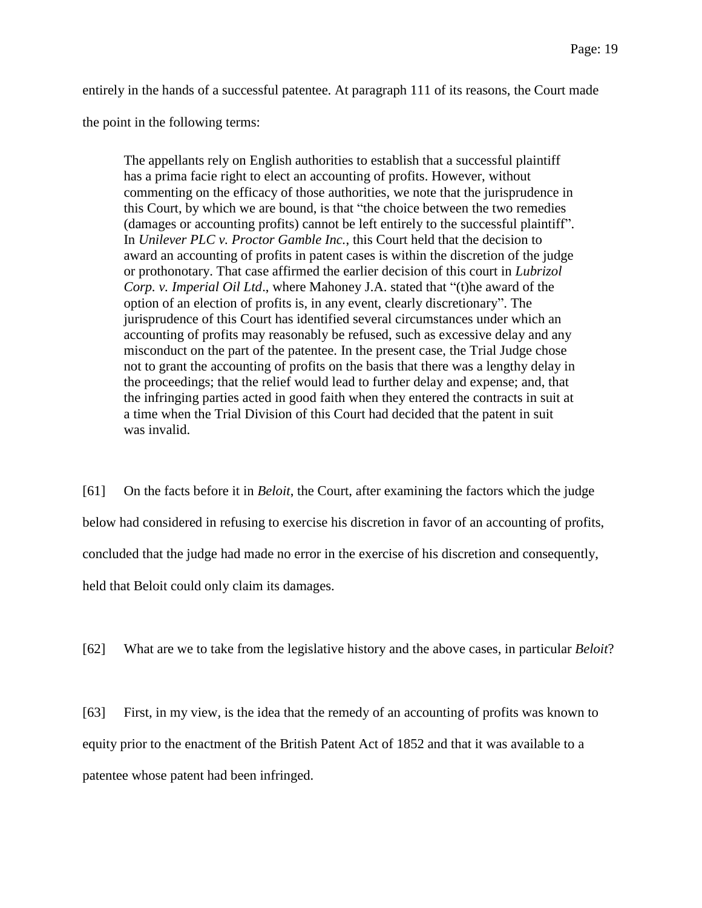entirely in the hands of a successful patentee. At paragraph 111 of its reasons, the Court made

the point in the following terms:

The appellants rely on English authorities to establish that a successful plaintiff has a prima facie right to elect an accounting of profits. However, without commenting on the efficacy of those authorities, we note that the jurisprudence in this Court, by which we are bound, is that "the choice between the two remedies (damages or accounting profits) cannot be left entirely to the successful plaintiff". In *Unilever PLC v. Proctor Gamble Inc.*, this Court held that the decision to award an accounting of profits in patent cases is within the discretion of the judge or prothonotary. That case affirmed the earlier decision of this court in *Lubrizol Corp. v. Imperial Oil Ltd*., where Mahoney J.A. stated that "(t)he award of the option of an election of profits is, in any event, clearly discretionary". The jurisprudence of this Court has identified several circumstances under which an accounting of profits may reasonably be refused, such as excessive delay and any misconduct on the part of the patentee. In the present case, the Trial Judge chose not to grant the accounting of profits on the basis that there was a lengthy delay in the proceedings; that the relief would lead to further delay and expense; and, that the infringing parties acted in good faith when they entered the contracts in suit at a time when the Trial Division of this Court had decided that the patent in suit was invalid.

[61] On the facts before it in *Beloit*, the Court, after examining the factors which the judge below had considered in refusing to exercise his discretion in favor of an accounting of profits, concluded that the judge had made no error in the exercise of his discretion and consequently, held that Beloit could only claim its damages.

[62] What are we to take from the legislative history and the above cases, in particular *Beloit*?

[63] First, in my view, is the idea that the remedy of an accounting of profits was known to equity prior to the enactment of the British Patent Act of 1852 and that it was available to a patentee whose patent had been infringed.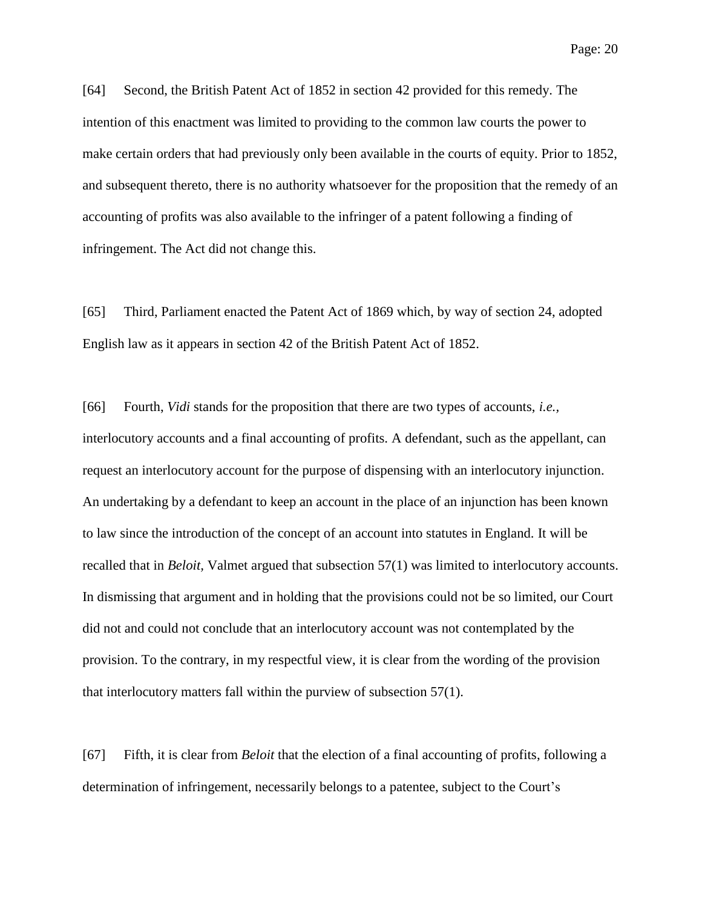[64] Second, the British Patent Act of 1852 in section 42 provided for this remedy. The intention of this enactment was limited to providing to the common law courts the power to make certain orders that had previously only been available in the courts of equity. Prior to 1852, and subsequent thereto, there is no authority whatsoever for the proposition that the remedy of an accounting of profits was also available to the infringer of a patent following a finding of

infringement. The Act did not change this.

[65] Third, Parliament enacted the Patent Act of 1869 which, by way of section 24, adopted English law as it appears in section 42 of the British Patent Act of 1852.

[66] Fourth, *Vidi* stands for the proposition that there are two types of accounts, *i.e.,* interlocutory accounts and a final accounting of profits. A defendant, such as the appellant, can request an interlocutory account for the purpose of dispensing with an interlocutory injunction. An undertaking by a defendant to keep an account in the place of an injunction has been known to law since the introduction of the concept of an account into statutes in England. It will be recalled that in *Beloit,* Valmet argued that subsection 57(1) was limited to interlocutory accounts. In dismissing that argument and in holding that the provisions could not be so limited, our Court did not and could not conclude that an interlocutory account was not contemplated by the provision. To the contrary, in my respectful view, it is clear from the wording of the provision that interlocutory matters fall within the purview of subsection 57(1).

[67] Fifth, it is clear from *Beloit* that the election of a final accounting of profits, following a determination of infringement, necessarily belongs to a patentee, subject to the Court's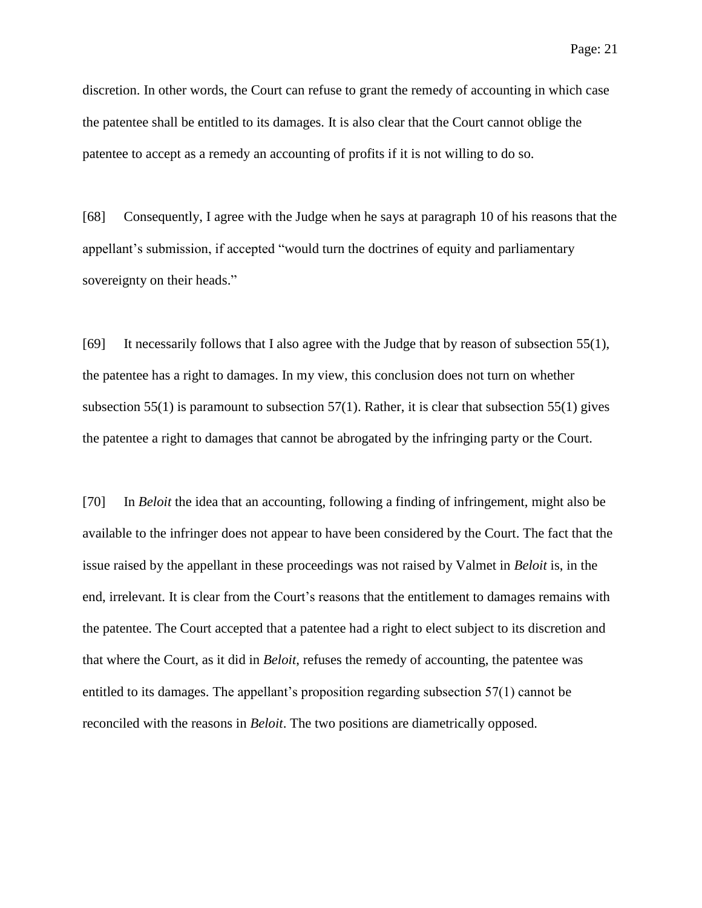discretion. In other words, the Court can refuse to grant the remedy of accounting in which case the patentee shall be entitled to its damages. It is also clear that the Court cannot oblige the patentee to accept as a remedy an accounting of profits if it is not willing to do so.

[68] Consequently, I agree with the Judge when he says at paragraph 10 of his reasons that the appellant's submission, if accepted "would turn the doctrines of equity and parliamentary sovereignty on their heads."

[69] It necessarily follows that I also agree with the Judge that by reason of subsection 55(1), the patentee has a right to damages. In my view, this conclusion does not turn on whether subsection 55(1) is paramount to subsection 57(1). Rather, it is clear that subsection 55(1) gives the patentee a right to damages that cannot be abrogated by the infringing party or the Court.

[70] In *Beloit* the idea that an accounting, following a finding of infringement, might also be available to the infringer does not appear to have been considered by the Court. The fact that the issue raised by the appellant in these proceedings was not raised by Valmet in *Beloit* is, in the end, irrelevant. It is clear from the Court's reasons that the entitlement to damages remains with the patentee. The Court accepted that a patentee had a right to elect subject to its discretion and that where the Court, as it did in *Beloit*, refuses the remedy of accounting, the patentee was entitled to its damages. The appellant's proposition regarding subsection 57(1) cannot be reconciled with the reasons in *Beloit*. The two positions are diametrically opposed.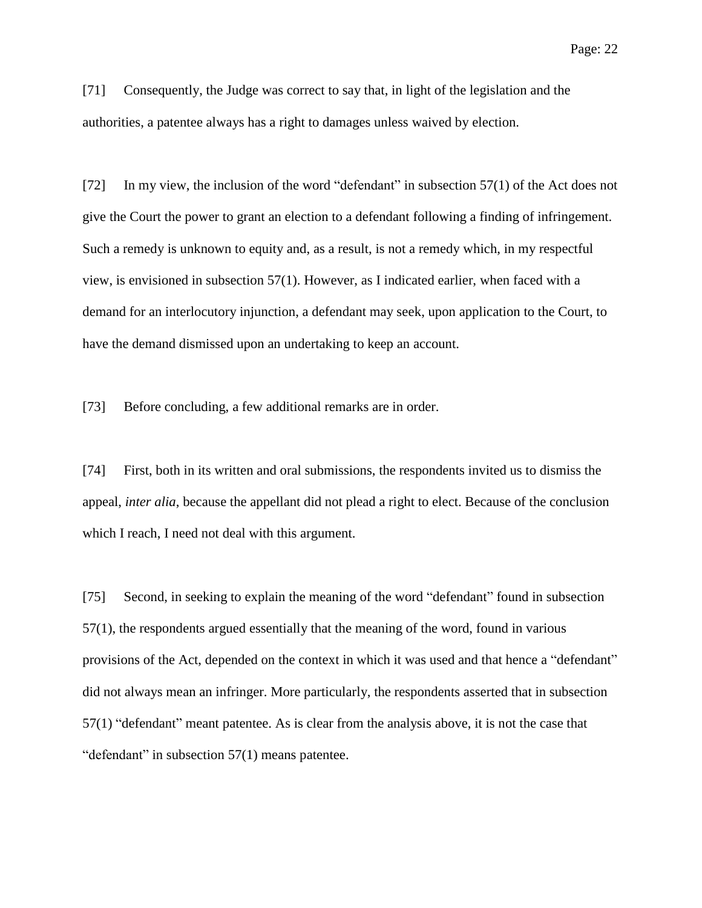[71] Consequently, the Judge was correct to say that, in light of the legislation and the authorities, a patentee always has a right to damages unless waived by election.

[72] In my view, the inclusion of the word "defendant" in subsection 57(1) of the Act does not give the Court the power to grant an election to a defendant following a finding of infringement. Such a remedy is unknown to equity and, as a result, is not a remedy which, in my respectful view, is envisioned in subsection 57(1). However, as I indicated earlier, when faced with a demand for an interlocutory injunction, a defendant may seek, upon application to the Court, to have the demand dismissed upon an undertaking to keep an account.

[73] Before concluding, a few additional remarks are in order.

[74] First, both in its written and oral submissions, the respondents invited us to dismiss the appeal, *inter alia*, because the appellant did not plead a right to elect. Because of the conclusion which I reach, I need not deal with this argument.

[75] Second, in seeking to explain the meaning of the word "defendant" found in subsection 57(1), the respondents argued essentially that the meaning of the word, found in various provisions of the Act, depended on the context in which it was used and that hence a "defendant" did not always mean an infringer. More particularly, the respondents asserted that in subsection 57(1) "defendant" meant patentee. As is clear from the analysis above, it is not the case that "defendant" in subsection 57(1) means patentee.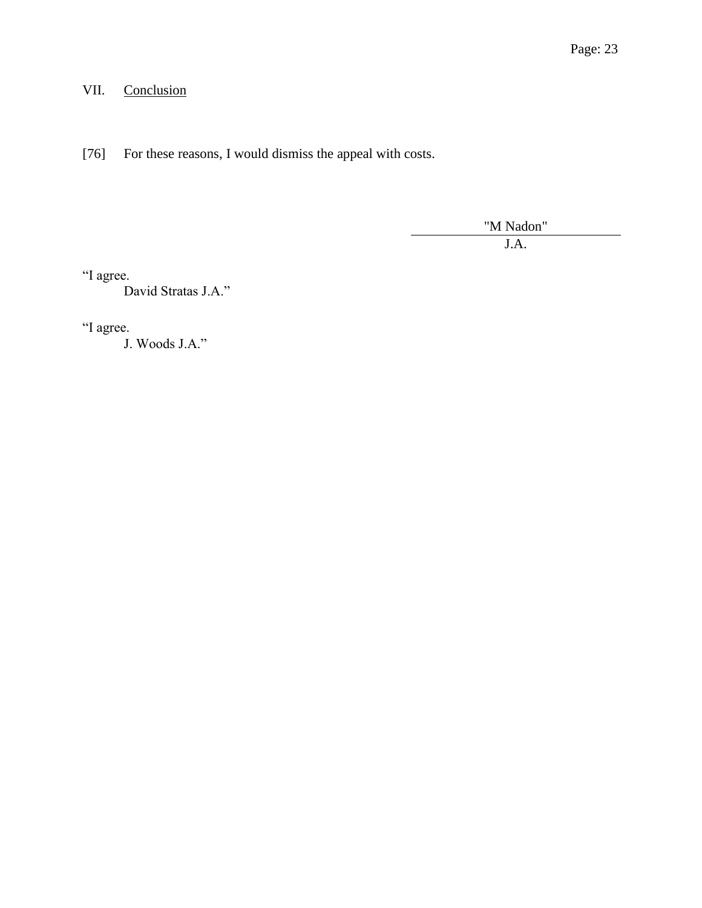# VII. Conclusion

[76] For these reasons, I would dismiss the appeal with costs.

"M Nadon" J.A.

"I agree.

David Stratas J.A."

"I agree.

J. Woods J.A."